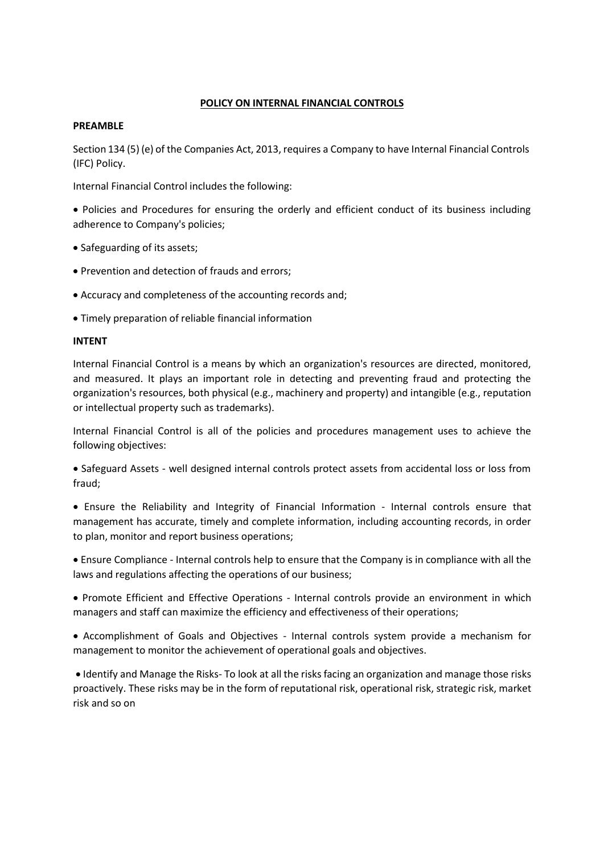# **POLICY ON INTERNAL FINANCIAL CONTROLS**

### **PREAMBLE**

Section 134 (5) (e) of the Companies Act, 2013, requires a Company to have Internal Financial Controls (IFC) Policy.

Internal Financial Control includes the following:

• Policies and Procedures for ensuring the orderly and efficient conduct of its business including adherence to Company's policies;

- Safeguarding of its assets;
- Prevention and detection of frauds and errors;
- Accuracy and completeness of the accounting records and;
- Timely preparation of reliable financial information

# **INTENT**

Internal Financial Control is a means by which an organization's resources are directed, monitored, and measured. It plays an important role in detecting and preventing fraud and protecting the organization's resources, both physical (e.g., machinery and property) and intangible (e.g., reputation or intellectual property such as trademarks).

Internal Financial Control is all of the policies and procedures management uses to achieve the following objectives:

• Safeguard Assets - well designed internal controls protect assets from accidental loss or loss from fraud;

• Ensure the Reliability and Integrity of Financial Information - Internal controls ensure that management has accurate, timely and complete information, including accounting records, in order to plan, monitor and report business operations;

• Ensure Compliance - Internal controls help to ensure that the Company is in compliance with all the laws and regulations affecting the operations of our business;

• Promote Efficient and Effective Operations - Internal controls provide an environment in which managers and staff can maximize the efficiency and effectiveness of their operations;

• Accomplishment of Goals and Objectives - Internal controls system provide a mechanism for management to monitor the achievement of operational goals and objectives.

• Identify and Manage the Risks- To look at all the risks facing an organization and manage those risks proactively. These risks may be in the form of reputational risk, operational risk, strategic risk, market risk and so on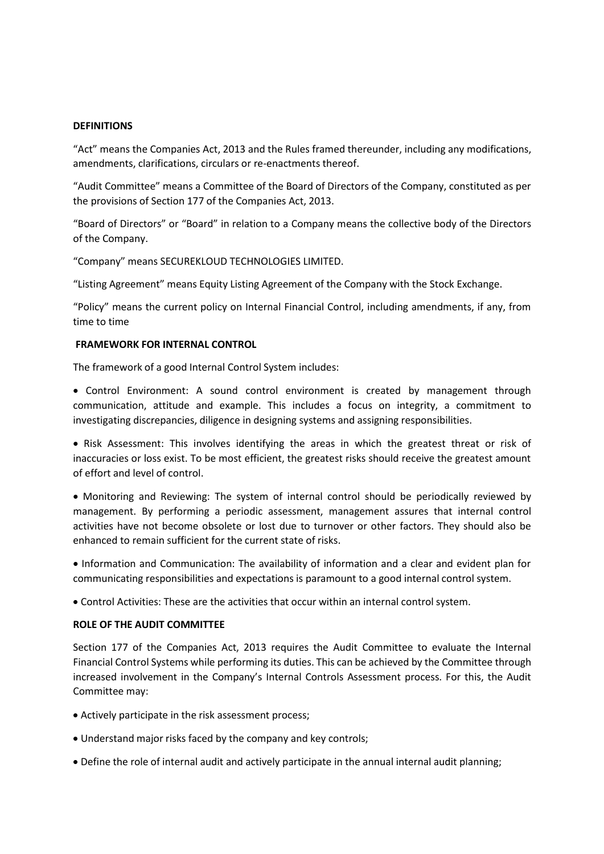### **DEFINITIONS**

"Act" means the Companies Act, 2013 and the Rules framed thereunder, including any modifications, amendments, clarifications, circulars or re-enactments thereof.

"Audit Committee" means a Committee of the Board of Directors of the Company, constituted as per the provisions of Section 177 of the Companies Act, 2013.

"Board of Directors" or "Board" in relation to a Company means the collective body of the Directors of the Company.

"Company" means SECUREKLOUD TECHNOLOGIES LIMITED.

"Listing Agreement" means Equity Listing Agreement of the Company with the Stock Exchange.

"Policy" means the current policy on Internal Financial Control, including amendments, if any, from time to time

### **FRAMEWORK FOR INTERNAL CONTROL**

The framework of a good Internal Control System includes:

• Control Environment: A sound control environment is created by management through communication, attitude and example. This includes a focus on integrity, a commitment to investigating discrepancies, diligence in designing systems and assigning responsibilities.

• Risk Assessment: This involves identifying the areas in which the greatest threat or risk of inaccuracies or loss exist. To be most efficient, the greatest risks should receive the greatest amount of effort and level of control.

• Monitoring and Reviewing: The system of internal control should be periodically reviewed by management. By performing a periodic assessment, management assures that internal control activities have not become obsolete or lost due to turnover or other factors. They should also be enhanced to remain sufficient for the current state of risks.

• Information and Communication: The availability of information and a clear and evident plan for communicating responsibilities and expectations is paramount to a good internal control system.

• Control Activities: These are the activities that occur within an internal control system.

#### **ROLE OF THE AUDIT COMMITTEE**

Section 177 of the Companies Act, 2013 requires the Audit Committee to evaluate the Internal Financial Control Systems while performing its duties. This can be achieved by the Committee through increased involvement in the Company's Internal Controls Assessment process. For this, the Audit Committee may:

- Actively participate in the risk assessment process;
- Understand major risks faced by the company and key controls;
- Define the role of internal audit and actively participate in the annual internal audit planning;